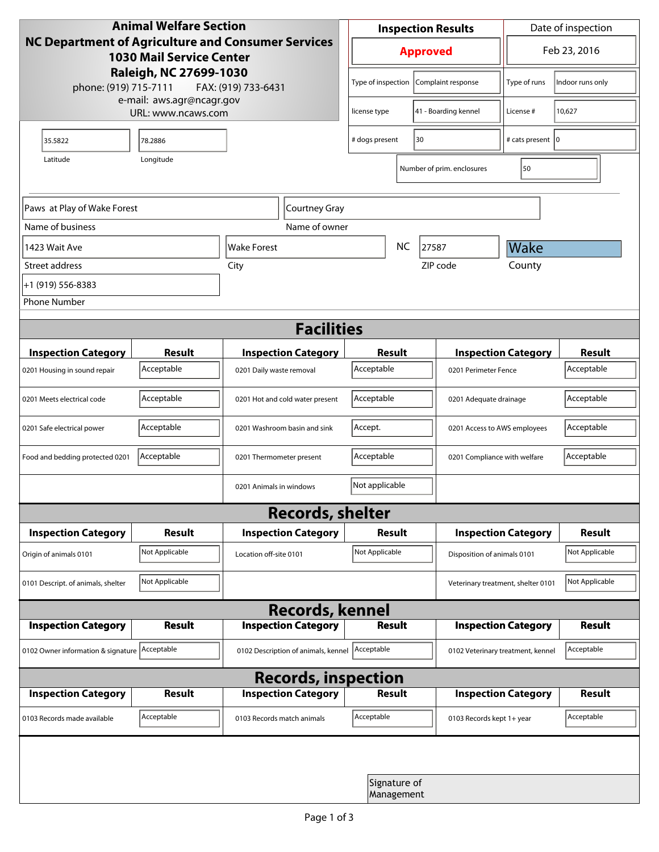| <b>Animal Welfare Section</b><br><b>NC Department of Agriculture and Consumer Services</b><br><b>1030 Mail Service Center</b><br>Raleigh, NC 27699-1030<br>phone: (919) 715-7111<br>FAX: (919) 733-6431 |                |                                     | <b>Inspection Results</b>                |                            |                                    | Date of inspection         |                |  |
|---------------------------------------------------------------------------------------------------------------------------------------------------------------------------------------------------------|----------------|-------------------------------------|------------------------------------------|----------------------------|------------------------------------|----------------------------|----------------|--|
|                                                                                                                                                                                                         |                |                                     | <b>Approved</b>                          |                            |                                    | Feb 23, 2016               |                |  |
|                                                                                                                                                                                                         |                |                                     | Type of inspection<br>Complaint response |                            | Type of runs                       | Indoor runs only           |                |  |
| e-mail: aws.agr@ncagr.gov<br>URL: www.ncaws.com                                                                                                                                                         |                |                                     | license type                             |                            | 41 - Boarding kennel               | License #                  | 10,627         |  |
| 35.5822                                                                                                                                                                                                 | 78.2886        |                                     | # dogs present                           | 30                         |                                    | # cats present   0         |                |  |
| Latitude                                                                                                                                                                                                | Longitude      |                                     |                                          |                            | Number of prim. enclosures         | 50                         |                |  |
| Paws at Play of Wake Forest                                                                                                                                                                             |                | Courtney Gray                       |                                          |                            |                                    |                            |                |  |
| Name of business                                                                                                                                                                                        |                | Name of owner                       |                                          |                            |                                    |                            |                |  |
| 1423 Wait Ave                                                                                                                                                                                           |                | Wake Forest                         | <b>NC</b>                                |                            | 27587                              | Wake                       |                |  |
| Street address                                                                                                                                                                                          |                | City                                |                                          |                            | County<br>ZIP code                 |                            |                |  |
| +1 (919) 556-8383                                                                                                                                                                                       |                |                                     |                                          |                            |                                    |                            |                |  |
| <b>Phone Number</b>                                                                                                                                                                                     |                |                                     |                                          |                            |                                    |                            |                |  |
| <b>Facilities</b>                                                                                                                                                                                       |                |                                     |                                          |                            |                                    |                            |                |  |
| <b>Inspection Category</b>                                                                                                                                                                              | <b>Result</b>  | <b>Inspection Category</b>          | Result                                   |                            |                                    | <b>Inspection Category</b> | <b>Result</b>  |  |
| 0201 Housing in sound repair                                                                                                                                                                            | Acceptable     | 0201 Daily waste removal            | Acceptable                               |                            | 0201 Perimeter Fence               |                            | Acceptable     |  |
| 0201 Meets electrical code                                                                                                                                                                              | Acceptable     | 0201 Hot and cold water present     | Acceptable<br>0201 Adequate drainage     |                            |                                    | Acceptable                 |                |  |
| 0201 Safe electrical power                                                                                                                                                                              | Acceptable     | 0201 Washroom basin and sink        | Accept.<br>0201 Access to AWS employees  |                            |                                    | Acceptable                 |                |  |
| Food and bedding protected 0201                                                                                                                                                                         | Acceptable     | 0201 Thermometer present            | Acceptable                               |                            | 0201 Compliance with welfare       |                            | Acceptable     |  |
|                                                                                                                                                                                                         |                | 0201 Animals in windows             | Not applicable                           |                            |                                    |                            |                |  |
| <b>Records, shelter</b>                                                                                                                                                                                 |                |                                     |                                          |                            |                                    |                            |                |  |
| <b>Inspection Category</b>                                                                                                                                                                              | <b>Result</b>  | <b>Inspection Category</b>          | Result                                   |                            |                                    | <b>Inspection Category</b> | Result         |  |
| Origin of animals 0101                                                                                                                                                                                  | Not Applicable | Location off-site 0101              | Not Applicable                           |                            | Disposition of animals 0101        |                            | Not Applicable |  |
| 0101 Descript. of animals, shelter                                                                                                                                                                      | Not Applicable |                                     |                                          |                            | Veterinary treatment, shelter 0101 |                            | Not Applicable |  |
| <b>Records, kennel</b>                                                                                                                                                                                  |                |                                     |                                          |                            |                                    |                            |                |  |
| <b>Inspection Category</b>                                                                                                                                                                              | Result         | <b>Inspection Category</b>          | <b>Result</b>                            |                            |                                    | <b>Inspection Category</b> | Result         |  |
| 0102 Owner information & signature Acceptable                                                                                                                                                           |                | 0102 Description of animals, kennel | Acceptable                               |                            | 0102 Veterinary treatment, kennel  |                            | Acceptable     |  |
| <b>Records, inspection</b>                                                                                                                                                                              |                |                                     |                                          |                            |                                    |                            |                |  |
| <b>Inspection Category</b>                                                                                                                                                                              | <b>Result</b>  | <b>Inspection Category</b>          | <b>Result</b>                            |                            |                                    | <b>Inspection Category</b> | Result         |  |
| 0103 Records made available                                                                                                                                                                             | Acceptable     | 0103 Records match animals          | Acceptable                               |                            | 0103 Records kept 1+ year          |                            | Acceptable     |  |
|                                                                                                                                                                                                         |                |                                     |                                          |                            |                                    |                            |                |  |
|                                                                                                                                                                                                         |                |                                     |                                          | Signature of<br>Management |                                    |                            |                |  |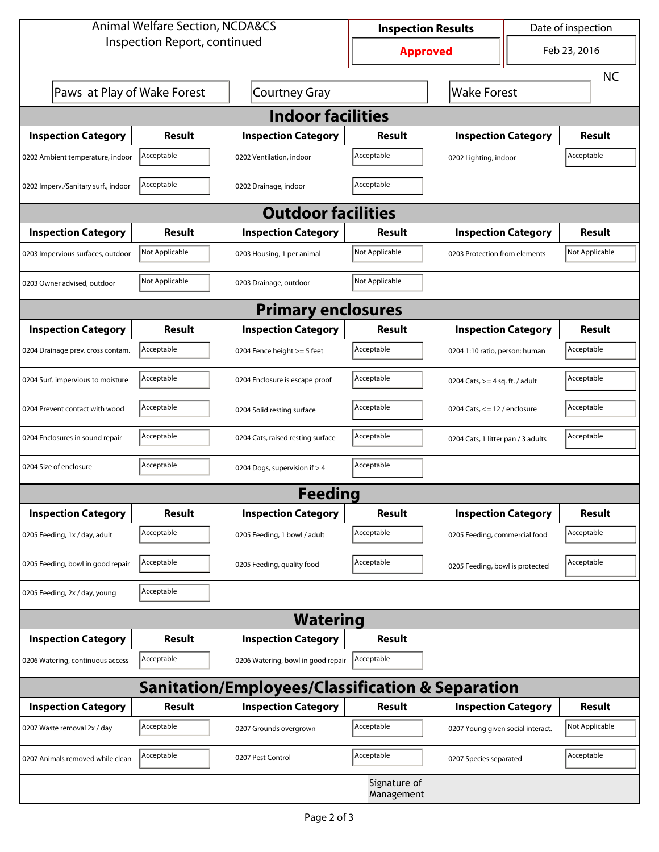| <b>Animal Welfare Section, NCDA&amp;CS</b>                  |                |                                    | <b>Inspection Results</b> |                                     | Date of inspection |                |  |  |
|-------------------------------------------------------------|----------------|------------------------------------|---------------------------|-------------------------------------|--------------------|----------------|--|--|
| Inspection Report, continued                                |                |                                    | <b>Approved</b>           |                                     | Feb 23, 2016       |                |  |  |
|                                                             |                |                                    |                           |                                     |                    | <b>NC</b>      |  |  |
| Paws at Play of Wake Forest                                 |                | <b>Courtney Gray</b>               |                           | <b>Wake Forest</b>                  |                    |                |  |  |
| <b>Indoor facilities</b>                                    |                |                                    |                           |                                     |                    |                |  |  |
| <b>Inspection Category</b>                                  | Result         | <b>Inspection Category</b>         | Result                    | <b>Inspection Category</b>          |                    | <b>Result</b>  |  |  |
| 0202 Ambient temperature, indoor                            | Acceptable     | 0202 Ventilation, indoor           | Acceptable                | Acceptable<br>0202 Lighting, indoor |                    |                |  |  |
| 0202 Imperv./Sanitary surf., indoor                         | Acceptable     | 0202 Drainage, indoor              | Acceptable                |                                     |                    |                |  |  |
| <b>Outdoor facilities</b>                                   |                |                                    |                           |                                     |                    |                |  |  |
| <b>Inspection Category</b>                                  | <b>Result</b>  | <b>Inspection Category</b>         | Result                    | <b>Inspection Category</b>          |                    | <b>Result</b>  |  |  |
| 0203 Impervious surfaces, outdoor                           | Not Applicable | 0203 Housing, 1 per animal         | Not Applicable            | 0203 Protection from elements       |                    | Not Applicable |  |  |
| 0203 Owner advised, outdoor                                 | Not Applicable | 0203 Drainage, outdoor             | Not Applicable            |                                     |                    |                |  |  |
| <b>Primary enclosures</b>                                   |                |                                    |                           |                                     |                    |                |  |  |
| <b>Inspection Category</b>                                  | Result         | <b>Inspection Category</b>         | Result                    | <b>Inspection Category</b>          |                    | <b>Result</b>  |  |  |
| 0204 Drainage prev. cross contam.                           | Acceptable     | 0204 Fence height >= 5 feet        | Acceptable                | 0204 1:10 ratio, person: human      |                    | Acceptable     |  |  |
| 0204 Surf. impervious to moisture                           | Acceptable     | 0204 Enclosure is escape proof     | Acceptable                | 0204 Cats, $>=$ 4 sq. ft. / adult   |                    | Acceptable     |  |  |
| 0204 Prevent contact with wood                              | Acceptable     | 0204 Solid resting surface         | Acceptable                | 0204 Cats, $<= 12$ / enclosure      |                    | Acceptable     |  |  |
| 0204 Enclosures in sound repair                             | Acceptable     | 0204 Cats, raised resting surface  | Acceptable                | 0204 Cats, 1 litter pan / 3 adults  |                    | Acceptable     |  |  |
| 0204 Size of enclosure                                      | Acceptable     | 0204 Dogs, supervision if > 4      | Acceptable                |                                     |                    |                |  |  |
| Feeding                                                     |                |                                    |                           |                                     |                    |                |  |  |
| <b>Inspection Category</b>                                  | Result         | <b>Inspection Category</b>         | Result                    | <b>Inspection Category</b>          |                    | Result         |  |  |
| 0205 Feeding, 1x / day, adult                               | Acceptable     | 0205 Feeding, 1 bowl / adult       | Acceptable                | 0205 Feeding, commercial food       |                    | Acceptable     |  |  |
| 0205 Feeding, bowl in good repair                           | Acceptable     | 0205 Feeding, quality food         | Acceptable                | 0205 Feeding, bowl is protected     |                    | Acceptable     |  |  |
| 0205 Feeding, 2x / day, young                               | Acceptable     |                                    |                           |                                     |                    |                |  |  |
| <b>Watering</b>                                             |                |                                    |                           |                                     |                    |                |  |  |
| <b>Inspection Category</b>                                  | Result         | <b>Inspection Category</b>         | <b>Result</b>             |                                     |                    |                |  |  |
| 0206 Watering, continuous access                            | Acceptable     | 0206 Watering, bowl in good repair | Acceptable                |                                     |                    |                |  |  |
| <b>Sanitation/Employees/Classification &amp; Separation</b> |                |                                    |                           |                                     |                    |                |  |  |
| <b>Inspection Category</b>                                  | <b>Result</b>  | <b>Inspection Category</b>         | Result                    | <b>Inspection Category</b>          |                    | <b>Result</b>  |  |  |
| 0207 Waste removal 2x / day                                 | Acceptable     | 0207 Grounds overgrown             | Acceptable                | 0207 Young given social interact.   |                    | Not Applicable |  |  |
| 0207 Animals removed while clean                            | Acceptable     | 0207 Pest Control                  | Acceptable                | 0207 Species separated              |                    | Acceptable     |  |  |
| Signature of<br>Management                                  |                |                                    |                           |                                     |                    |                |  |  |